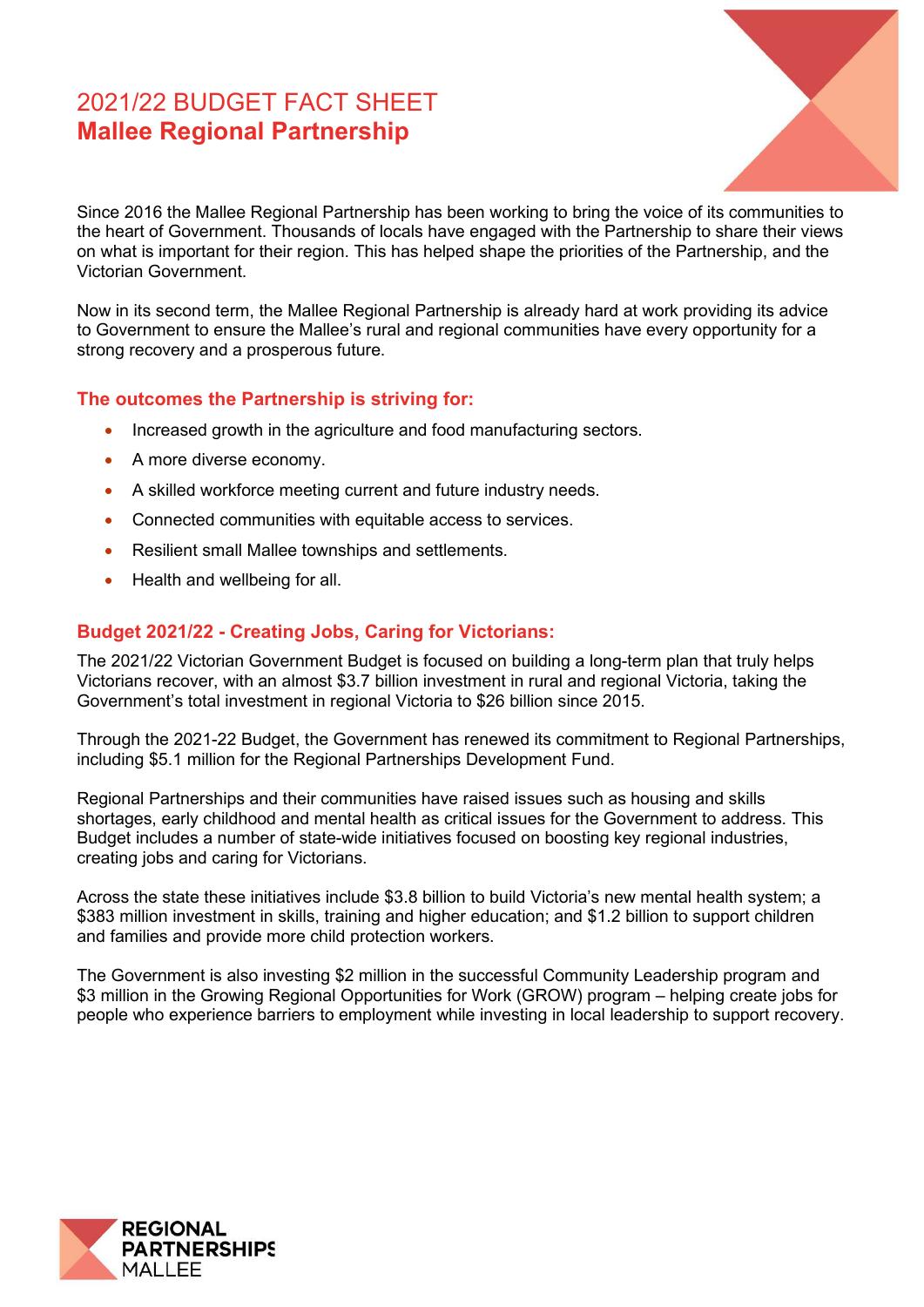# 2021/22 BUDGET FACT SHEET **Mallee Regional Partnership**



Since 2016 the Mallee Regional Partnership has been working to bring the voice of its communities to the heart of Government. Thousands of locals have engaged with the Partnership to share their views on what is important for their region. This has helped shape the priorities of the Partnership, and the Victorian Government.

Now in its second term, the Mallee Regional Partnership is already hard at work providing its advice to Government to ensure the Mallee's rural and regional communities have every opportunity for a strong recovery and a prosperous future.

## **The outcomes the Partnership is striving for:**

- Increased growth in the agriculture and food manufacturing sectors.
- A more diverse economy.
- A skilled workforce meeting current and future industry needs.
- Connected communities with equitable access to services.
- Resilient small Mallee townships and settlements.
- Health and wellbeing for all.

# **Budget 2021/22 - Creating Jobs, Caring for Victorians:**

The 2021/22 Victorian Government Budget is focused on building a long-term plan that truly helps Victorians recover, with an almost \$3.7 billion investment in rural and regional Victoria, taking the Government's total investment in regional Victoria to \$26 billion since 2015.

Through the 2021-22 Budget, the Government has renewed its commitment to Regional Partnerships, including \$5.1 million for the Regional Partnerships Development Fund.

Regional Partnerships and their communities have raised issues such as housing and skills shortages, early childhood and mental health as critical issues for the Government to address. This Budget includes a number of state-wide initiatives focused on boosting key regional industries, creating jobs and caring for Victorians.

Across the state these initiatives include \$3.8 billion to build Victoria's new mental health system; a \$383 million investment in skills, training and higher education; and \$1.2 billion to support children and families and provide more child protection workers.

The Government is also investing \$2 million in the successful Community Leadership program and \$3 million in the Growing Regional Opportunities for Work (GROW) program – helping create jobs for people who experience barriers to employment while investing in local leadership to support recovery. İ

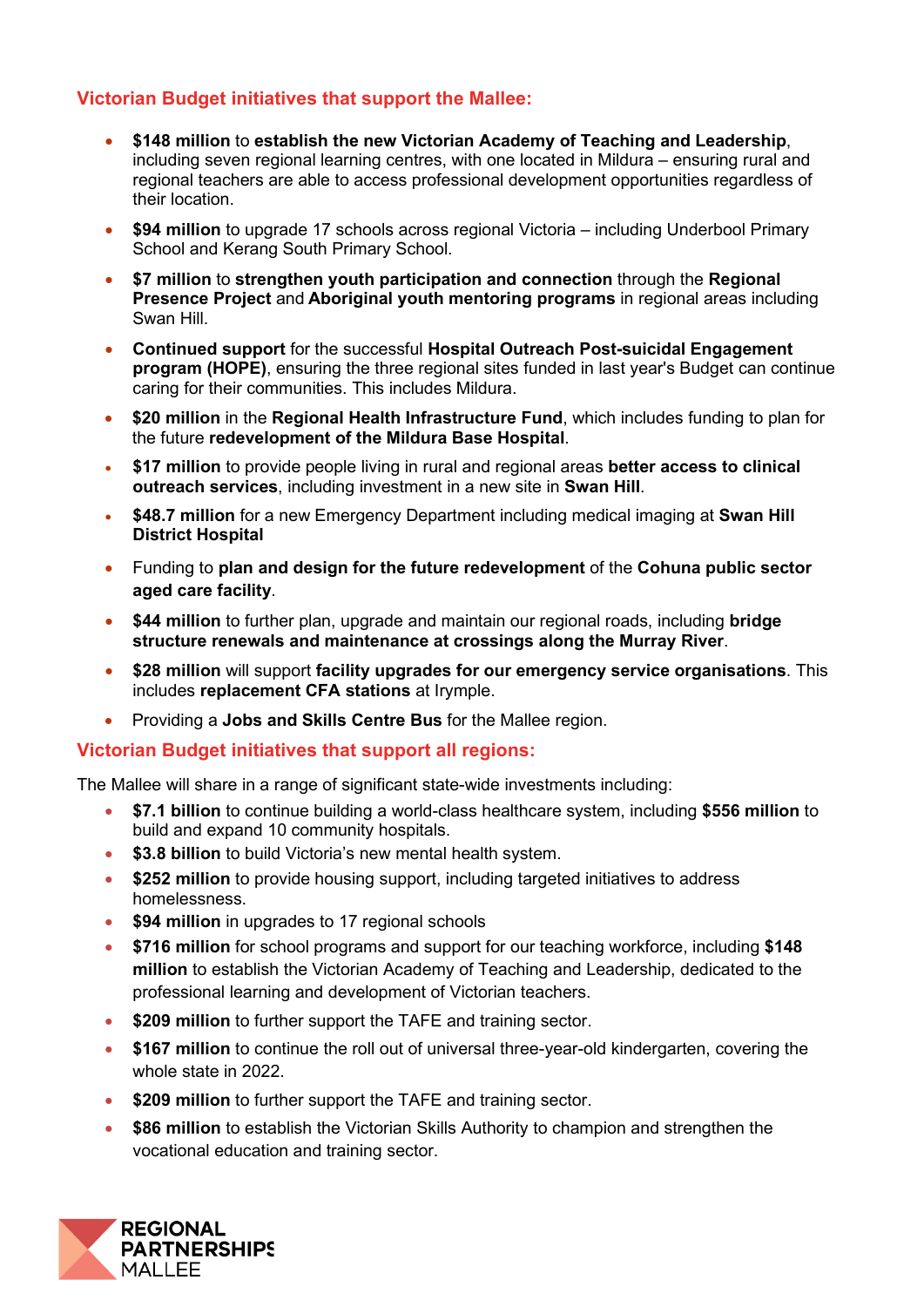## **Victorian Budget initiatives that support the Mallee:**

- **\$148 million** to **establish the new Victorian Academy of Teaching and Leadership**, including seven regional learning centres, with one located in Mildura – ensuring rural and regional teachers are able to access professional development opportunities regardless of their location.
- **\$94 million** to upgrade 17 schools across regional Victoria including Underbool Primary School and Kerang South Primary School.
- **\$7 million** to **strengthen youth participation and connection** through the **Regional Presence Project** and **Aboriginal youth mentoring programs** in regional areas including Swan Hill.
- **Continued support** for the successful **Hospital Outreach Post-suicidal Engagement program (HOPE)**, ensuring the three regional sites funded in last year's Budget can continue caring for their communities. This includes Mildura.
- **\$20 million** in the **Regional Health Infrastructure Fund**, which includes funding to plan for the future **redevelopment of the Mildura Base Hospital**.
- **\$17 million** to provide people living in rural and regional areas **better access to clinical outreach services**, including investment in a new site in **Swan Hill**.
- **\$48.7 million** for a new Emergency Department including medical imaging at **Swan Hill District Hospital**
- Funding to **plan and design for the future redevelopment** of the **Cohuna public sector aged care facility**.
- **\$44 million** to further plan, upgrade and maintain our regional roads, including **bridge structure renewals and maintenance at crossings along the Murray River**.
- **\$28 million** will support **facility upgrades for our emergency service organisations**. This includes **replacement CFA stations** at Irymple.
- Providing a **Jobs and Skills Centre Bus** for the Mallee region.

#### **Victorian Budget initiatives that support all regions:**

The Mallee will share in a range of significant state-wide investments including:

- **\$7.1 billion** to continue building a world-class healthcare system, including **\$556 million** to build and expand 10 community hospitals.
- **\$3.8 billion** to build Victoria's new mental health system.
- **\$252 million** to provide housing support, including targeted initiatives to address homelessness.
- **\$94 million** in upgrades to 17 regional schools
- **\$716 million** for school programs and support for our teaching workforce, including **\$148 million** to establish the Victorian Academy of Teaching and Leadership, dedicated to the professional learning and development of Victorian teachers.
- **\$209 million** to further support the TAFE and training sector.
- **\$167 million** to continue the roll out of universal three-year-old kindergarten, covering the whole state in 2022.
- **\$209 million** to further support the TAFE and training sector.
- **\$86 million** to establish the Victorian Skills Authority to champion and strengthen the vocational education and training sector.